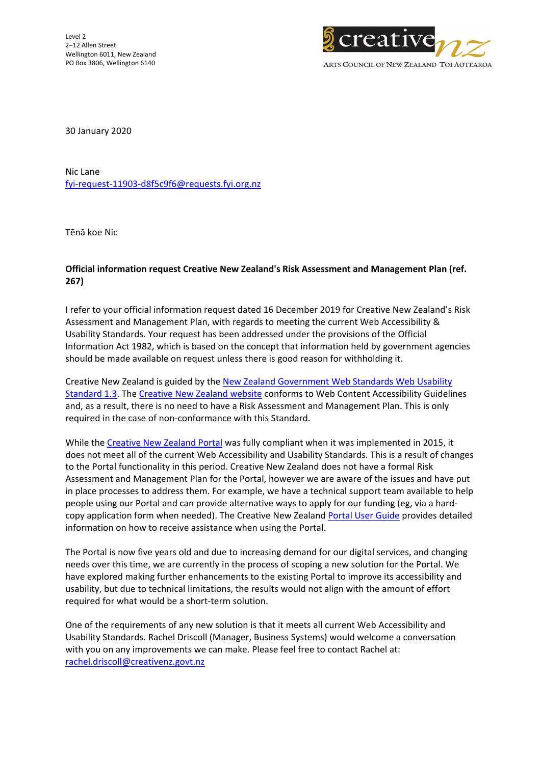

30 January 2020

Nic Lane [fyi-request-11903-d8f5c9f6@requests.fyi.org.nz](mailto:xxxxxxxxxxxxxxxxxxxxxxxxxx@xxxxxxxx.xxx.xxx.xx)

Tēnā koe Nic

## **Official information request Creative New Zealand's Risk Assessment and Management Plan (ref. 267)**

I refer to your official information request dated 16 December 2019 for Creative New Zealand's Risk Assessment and Management Plan, with regards to meeting the current Web Accessibility & Usability Standards. Your request has been addressed under the provisions of the Official Information Act 1982, which is based on the concept that information held by government agencies should be made available on request unless there is good reason for withholding it.

Creative New Zealand is guided by the [New Zealand Government Web Standards Web](https://www.digital.govt.nz/standards-and-guidance/nz-government-web-standards/web-usability-standard-1-3/) Usability [Standard 1.3.](https://www.digital.govt.nz/standards-and-guidance/nz-government-web-standards/web-usability-standard-1-3/) The [Creative New Zealand website](http://www.creativenz.govt.nz/) conforms to Web Content Accessibility Guidelines and, as a result, there is no need to have a Risk Assessment and Management Plan. This is only required in the case of non-conformance with this Standard.

While the [Creative New Zealand Portal](https://portal.creativenz.govt.nz/Account/Login?ReturnUrl=%2F) was fully compliant when it was implemented in 2015, it does not meet all of the current Web Accessibility and Usability Standards. This is a result of changes to the Portal functionality in this period. Creative New Zealand does not have a formal Risk Assessment and Management Plan for the Portal, however we are aware of the issues and have put in place processes to address them. For example, we have a technical support team available to help people using our Portal and can provide alternative ways to apply for our funding (eg, via a hardcopy application form when needed). The Creative New Zealand [Portal User Guide](http://cnzportal.knowledgeowl.com/help) provides detailed information on how to receive assistance when using the Portal.

The Portal is now five years old and due to increasing demand for our digital services, and changing needs over this time, we are currently in the process of scoping a new solution for the Portal. We have explored making further enhancements to the existing Portal to improve its accessibility and usability, but due to technical limitations, the results would not align with the amount of effort required for what would be a short-term solution.

One of the requirements of any new solution is that it meets all current Web Accessibility and Usability Standards. Rachel Driscoll (Manager, Business Systems) would welcome a conversation with you on any improvements we can make. Please feel free to contact Rachel at: [rachel.driscoll@creativenz.govt.nz](mailto:xxxxxx.xxxxxxxx@xxxxxxxxxx.xxxx.xx)